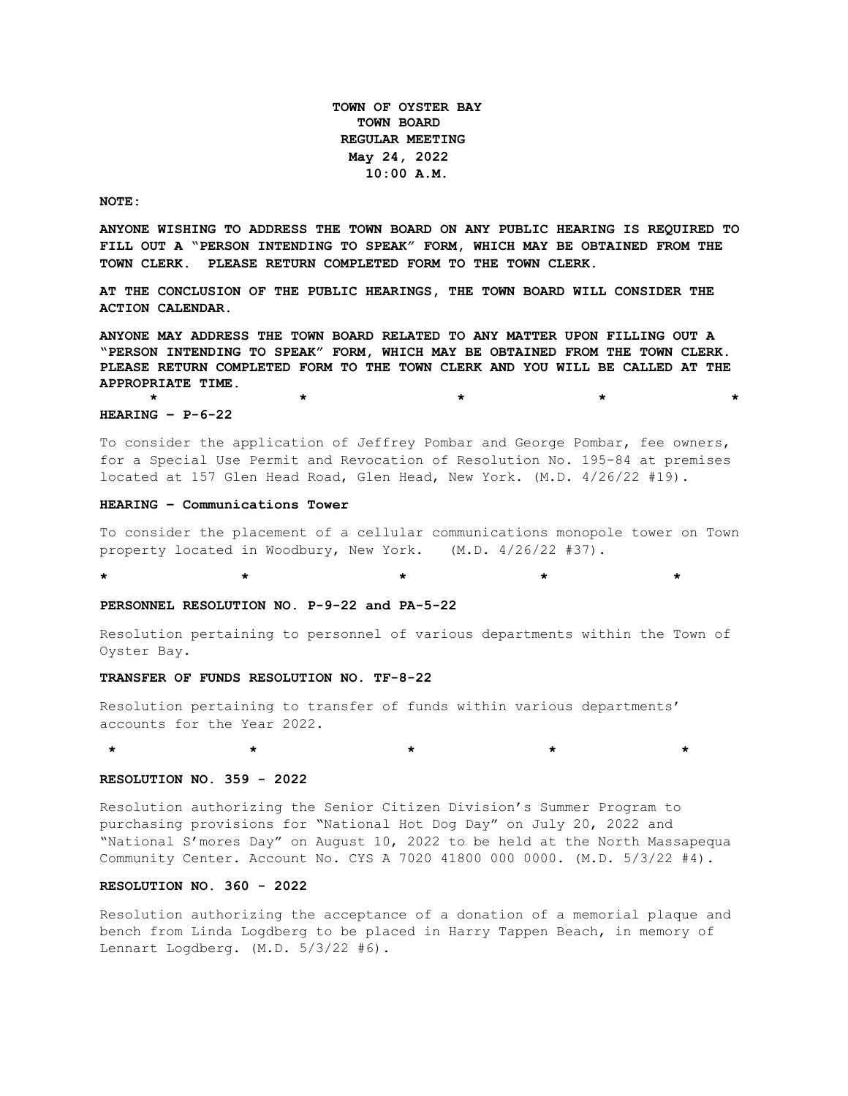**TOWN OF OYSTER BAY TOWN BOARD REGULAR MEETING May 24, 2022 10:00 A.M.** 

#### **NOTE:**

**ANYONE WISHING TO ADDRESS THE TOWN BOARD ON ANY PUBLIC HEARING IS REQUIRED TO FILL OUT A "PERSON INTENDING TO SPEAK" FORM, WHICH MAY BE OBTAINED FROM THE TOWN CLERK. PLEASE RETURN COMPLETED FORM TO THE TOWN CLERK.**

**AT THE CONCLUSION OF THE PUBLIC HEARINGS, THE TOWN BOARD WILL CONSIDER THE ACTION CALENDAR.**

**ANYONE MAY ADDRESS THE TOWN BOARD RELATED TO ANY MATTER UPON FILLING OUT A "PERSON INTENDING TO SPEAK" FORM, WHICH MAY BE OBTAINED FROM THE TOWN CLERK. PLEASE RETURN COMPLETED FORM TO THE TOWN CLERK AND YOU WILL BE CALLED AT THE APPROPRIATE TIME.**

**\* \* \* \* \***

### **HEARING – P-6-22**

To consider the application of Jeffrey Pombar and George Pombar, fee owners, for a Special Use Permit and Revocation of Resolution No. 195-84 at premises located at 157 Glen Head Road, Glen Head, New York. (M.D. 4/26/22 #19).

## **HEARING – Communications Tower**

To consider the placement of a cellular communications monopole tower on Town property located in Woodbury, New York. (M.D. 4/26/22 #37).

**\* \* \* \* \*** 

# **PERSONNEL RESOLUTION NO. P-9-22 and PA-5-22**

Resolution pertaining to personnel of various departments within the Town of Oyster Bay.

#### **TRANSFER OF FUNDS RESOLUTION NO. TF-8-22**

Resolution pertaining to transfer of funds within various departments' accounts for the Year 2022.

**\* \* \* \* \***

## **RESOLUTION NO. 359 - 2022**

Resolution authorizing the Senior Citizen Division's Summer Program to purchasing provisions for "National Hot Dog Day" on July 20, 2022 and "National S'mores Day" on August 10, 2022 to be held at the North Massapequa Community Center. Account No. CYS A 7020 41800 000 0000. (M.D. 5/3/22 #4).

## **RESOLUTION NO. 360 - 2022**

Resolution authorizing the acceptance of a donation of a memorial plaque and bench from Linda Logdberg to be placed in Harry Tappen Beach, in memory of Lennart Logdberg. (M.D. 5/3/22 #6).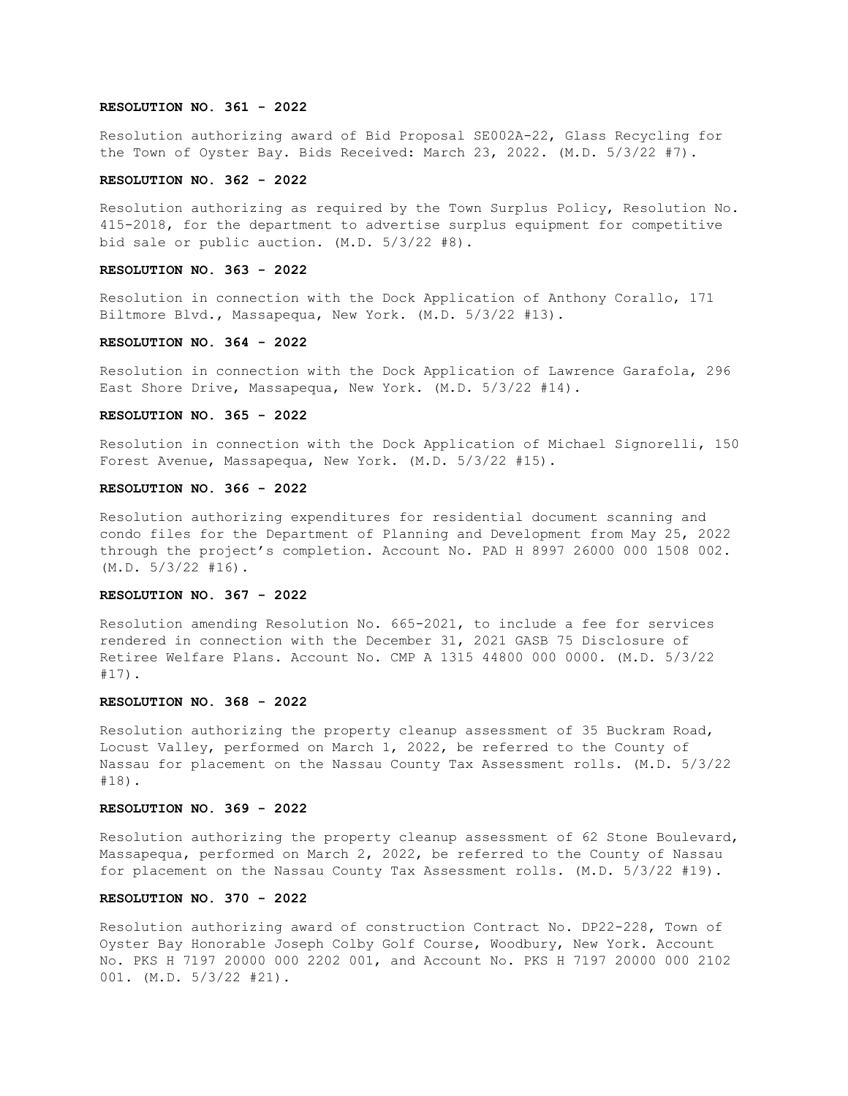### **RESOLUTION NO. 361 - 2022**

Resolution authorizing award of Bid Proposal SE002A-22, Glass Recycling for the Town of Oyster Bay. Bids Received: March 23, 2022. (M.D. 5/3/22 #7).

## **RESOLUTION NO. 362 - 2022**

Resolution authorizing as required by the Town Surplus Policy, Resolution No. 415-2018, for the department to advertise surplus equipment for competitive bid sale or public auction. (M.D. 5/3/22 #8).

### **RESOLUTION NO. 363 - 2022**

Resolution in connection with the Dock Application of Anthony Corallo, 171 Biltmore Blvd., Massapequa, New York. (M.D. 5/3/22 #13).

### **RESOLUTION NO. 364 - 2022**

Resolution in connection with the Dock Application of Lawrence Garafola, 296 East Shore Drive, Massapequa, New York. (M.D. 5/3/22 #14).

#### **RESOLUTION NO. 365 - 2022**

Resolution in connection with the Dock Application of Michael Signorelli, 150 Forest Avenue, Massapequa, New York. (M.D. 5/3/22 #15).

### **RESOLUTION NO. 366 - 2022**

Resolution authorizing expenditures for residential document scanning and condo files for the Department of Planning and Development from May 25, 2022 through the project's completion. Account No. PAD H 8997 26000 000 1508 002. (M.D. 5/3/22 #16).

### **RESOLUTION NO. 367 - 2022**

Resolution amending Resolution No. 665-2021, to include a fee for services rendered in connection with the December 31, 2021 GASB 75 Disclosure of Retiree Welfare Plans. Account No. CMP A 1315 44800 000 0000. (M.D. 5/3/22 #17).

### **RESOLUTION NO. 368 - 2022**

Resolution authorizing the property cleanup assessment of 35 Buckram Road, Locust Valley, performed on March 1, 2022, be referred to the County of Nassau for placement on the Nassau County Tax Assessment rolls. (M.D. 5/3/22 #18).

### **RESOLUTION NO. 369 - 2022**

Resolution authorizing the property cleanup assessment of 62 Stone Boulevard, Massapequa, performed on March 2, 2022, be referred to the County of Nassau for placement on the Nassau County Tax Assessment rolls. (M.D. 5/3/22 #19).

### **RESOLUTION NO. 370 - 2022**

Resolution authorizing award of construction Contract No. DP22-228, Town of Oyster Bay Honorable Joseph Colby Golf Course, Woodbury, New York. Account No. PKS H 7197 20000 000 2202 001, and Account No. PKS H 7197 20000 000 2102 001. (M.D. 5/3/22 #21).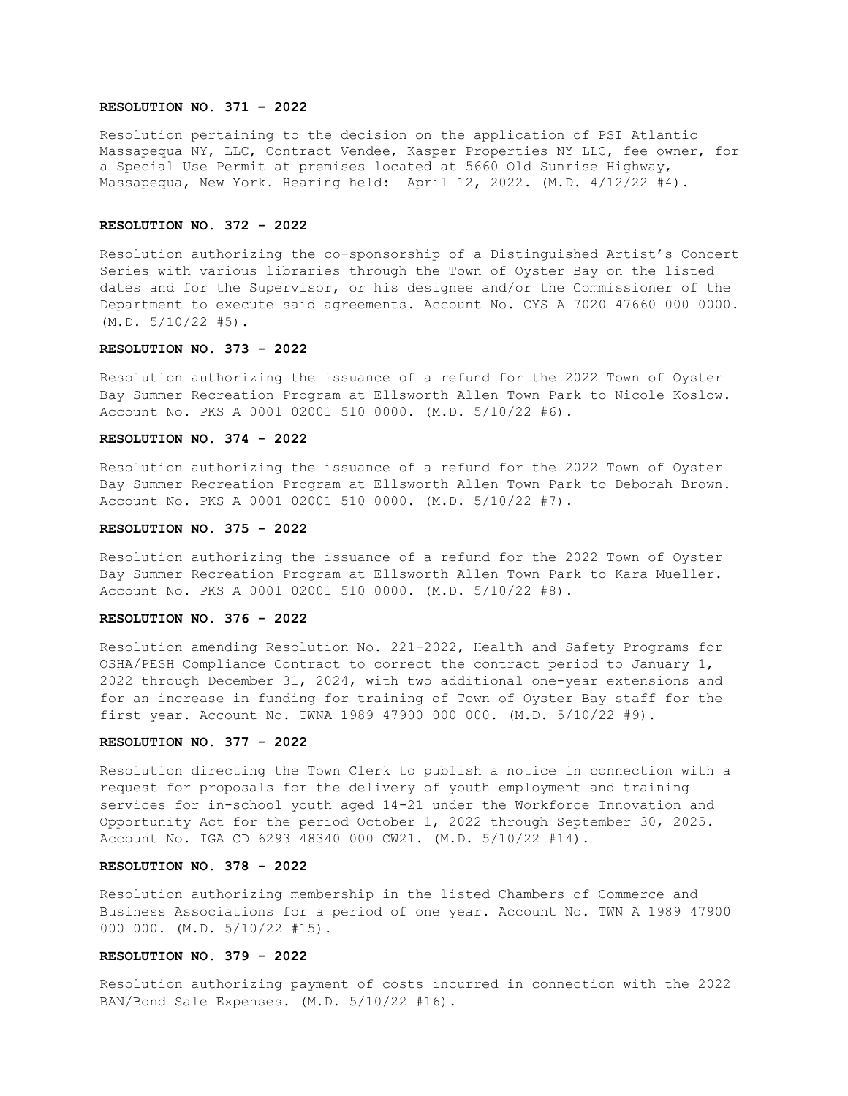### **RESOLUTION NO. 371 – 2022**

Resolution pertaining to the decision on the application of PSI Atlantic Massapequa NY, LLC, Contract Vendee, Kasper Properties NY LLC, fee owner, for a Special Use Permit at premises located at 5660 Old Sunrise Highway, Massapequa, New York. Hearing held: April 12, 2022. (M.D. 4/12/22 #4).

### **RESOLUTION NO. 372 - 2022**

Resolution authorizing the co-sponsorship of a Distinguished Artist's Concert Series with various libraries through the Town of Oyster Bay on the listed dates and for the Supervisor, or his designee and/or the Commissioner of the Department to execute said agreements. Account No. CYS A 7020 47660 000 0000.  $(M.D. 5/10/22 #5).$ 

## **RESOLUTION NO. 373 - 2022**

Resolution authorizing the issuance of a refund for the 2022 Town of Oyster Bay Summer Recreation Program at Ellsworth Allen Town Park to Nicole Koslow. Account No. PKS A 0001 02001 510 0000. (M.D. 5/10/22 #6).

### **RESOLUTION NO. 374 - 2022**

Resolution authorizing the issuance of a refund for the 2022 Town of Oyster Bay Summer Recreation Program at Ellsworth Allen Town Park to Deborah Brown. Account No. PKS A 0001 02001 510 0000. (M.D. 5/10/22 #7).

#### **RESOLUTION NO. 375 - 2022**

Resolution authorizing the issuance of a refund for the 2022 Town of Oyster Bay Summer Recreation Program at Ellsworth Allen Town Park to Kara Mueller. Account No. PKS A 0001 02001 510 0000. (M.D. 5/10/22 #8).

### **RESOLUTION NO. 376 - 2022**

Resolution amending Resolution No. 221-2022, Health and Safety Programs for OSHA/PESH Compliance Contract to correct the contract period to January 1, 2022 through December 31, 2024, with two additional one-year extensions and for an increase in funding for training of Town of Oyster Bay staff for the first year. Account No. TWNA 1989 47900 000 000. (M.D. 5/10/22 #9).

#### **RESOLUTION NO. 377 - 2022**

Resolution directing the Town Clerk to publish a notice in connection with a request for proposals for the delivery of youth employment and training services for in-school youth aged 14-21 under the Workforce Innovation and Opportunity Act for the period October 1, 2022 through September 30, 2025. Account No. IGA CD 6293 48340 000 CW21. (M.D. 5/10/22 #14).

# **RESOLUTION NO. 378 - 2022**

Resolution authorizing membership in the listed Chambers of Commerce and Business Associations for a period of one year. Account No. TWN A 1989 47900 000 000. (M.D. 5/10/22 #15).

## **RESOLUTION NO. 379 - 2022**

Resolution authorizing payment of costs incurred in connection with the 2022 BAN/Bond Sale Expenses. (M.D. 5/10/22 #16).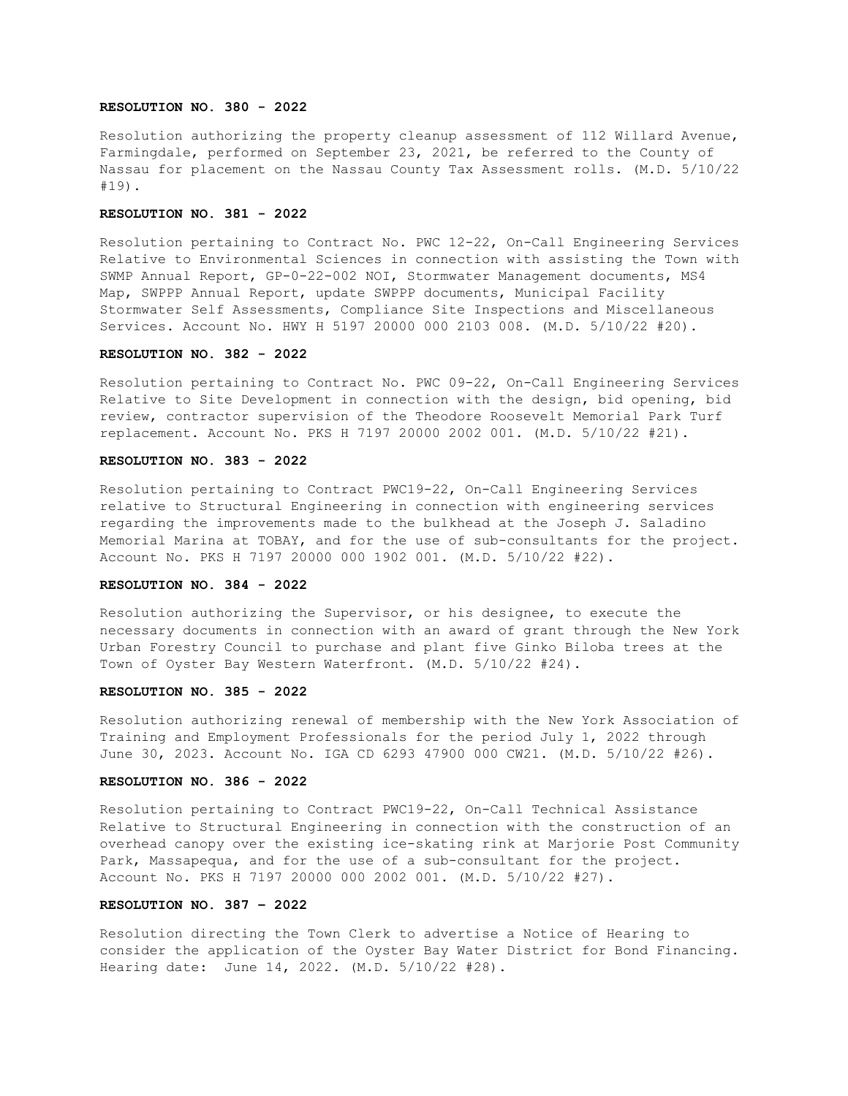### **RESOLUTION NO. 380 - 2022**

Resolution authorizing the property cleanup assessment of 112 Willard Avenue, Farmingdale, performed on September 23, 2021, be referred to the County of Nassau for placement on the Nassau County Tax Assessment rolls. (M.D. 5/10/22 #19).

## **RESOLUTION NO. 381 - 2022**

Resolution pertaining to Contract No. PWC 12-22, On-Call Engineering Services Relative to Environmental Sciences in connection with assisting the Town with SWMP Annual Report, GP-0-22-002 NOI, Stormwater Management documents, MS4 Map, SWPPP Annual Report, update SWPPP documents, Municipal Facility Stormwater Self Assessments, Compliance Site Inspections and Miscellaneous Services. Account No. HWY H 5197 20000 000 2103 008. (M.D. 5/10/22 #20).

#### **RESOLUTION NO. 382 - 2022**

Resolution pertaining to Contract No. PWC 09-22, On-Call Engineering Services Relative to Site Development in connection with the design, bid opening, bid review, contractor supervision of the Theodore Roosevelt Memorial Park Turf replacement. Account No. PKS H 7197 20000 2002 001. (M.D. 5/10/22 #21).

### **RESOLUTION NO. 383 - 2022**

Resolution pertaining to Contract PWC19-22, On-Call Engineering Services relative to Structural Engineering in connection with engineering services regarding the improvements made to the bulkhead at the Joseph J. Saladino Memorial Marina at TOBAY, and for the use of sub-consultants for the project. Account No. PKS H 7197 20000 000 1902 001. (M.D. 5/10/22 #22).

### **RESOLUTION NO. 384 - 2022**

Resolution authorizing the Supervisor, or his designee, to execute the necessary documents in connection with an award of grant through the New York Urban Forestry Council to purchase and plant five Ginko Biloba trees at the Town of Oyster Bay Western Waterfront. (M.D. 5/10/22 #24).

### **RESOLUTION NO. 385 - 2022**

Resolution authorizing renewal of membership with the New York Association of Training and Employment Professionals for the period July 1, 2022 through June 30, 2023. Account No. IGA CD 6293 47900 000 CW21. (M.D. 5/10/22 #26).

#### **RESOLUTION NO. 386 - 2022**

Resolution pertaining to Contract PWC19-22, On-Call Technical Assistance Relative to Structural Engineering in connection with the construction of an overhead canopy over the existing ice-skating rink at Marjorie Post Community Park, Massapequa, and for the use of a sub-consultant for the project. Account No. PKS H 7197 20000 000 2002 001. (M.D. 5/10/22 #27).

## **RESOLUTION NO. 387 – 2022**

Resolution directing the Town Clerk to advertise a Notice of Hearing to consider the application of the Oyster Bay Water District for Bond Financing. Hearing date: June 14, 2022. (M.D. 5/10/22 #28).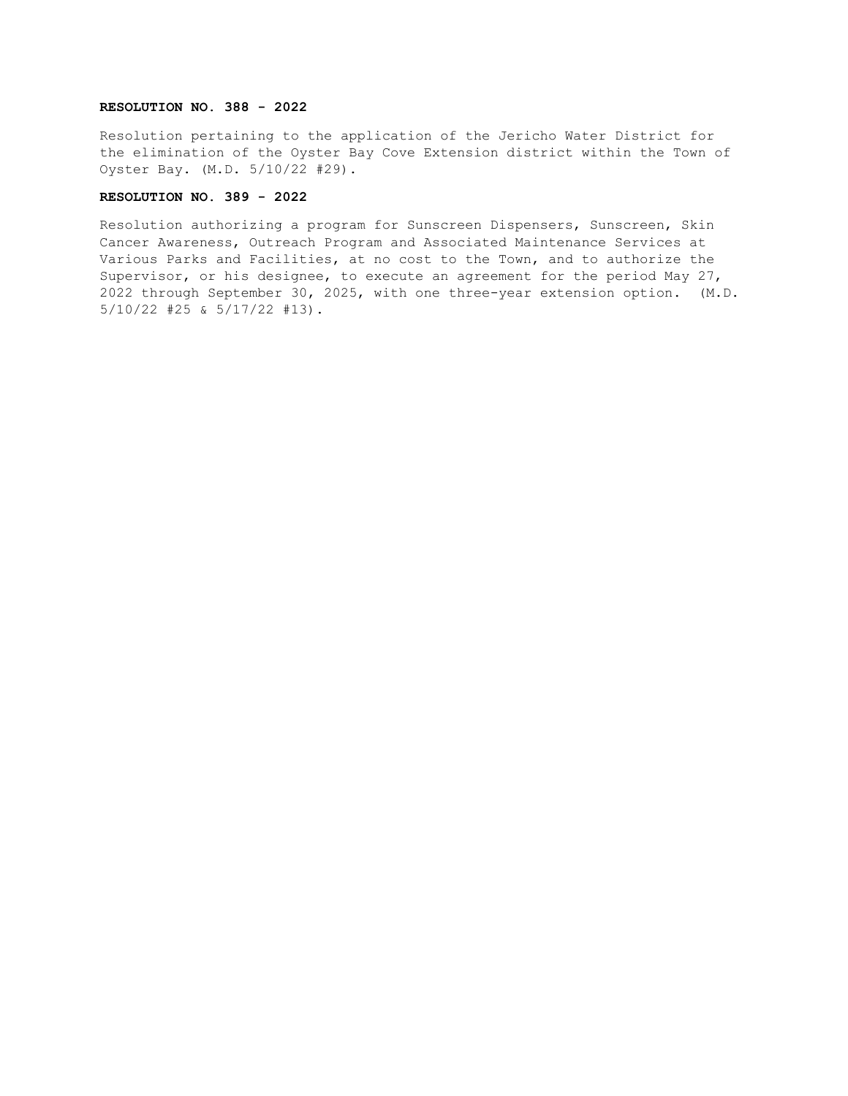# **RESOLUTION NO. 388 - 2022**

Resolution pertaining to the application of the Jericho Water District for the elimination of the Oyster Bay Cove Extension district within the Town of Oyster Bay. (M.D. 5/10/22 #29).

# **RESOLUTION NO. 389 - 2022**

Resolution authorizing a program for Sunscreen Dispensers, Sunscreen, Skin Cancer Awareness, Outreach Program and Associated Maintenance Services at Various Parks and Facilities, at no cost to the Town, and to authorize the Supervisor, or his designee, to execute an agreement for the period May 27, 2022 through September 30, 2025, with one three-year extension option. (M.D. 5/10/22 #25 & 5/17/22 #13).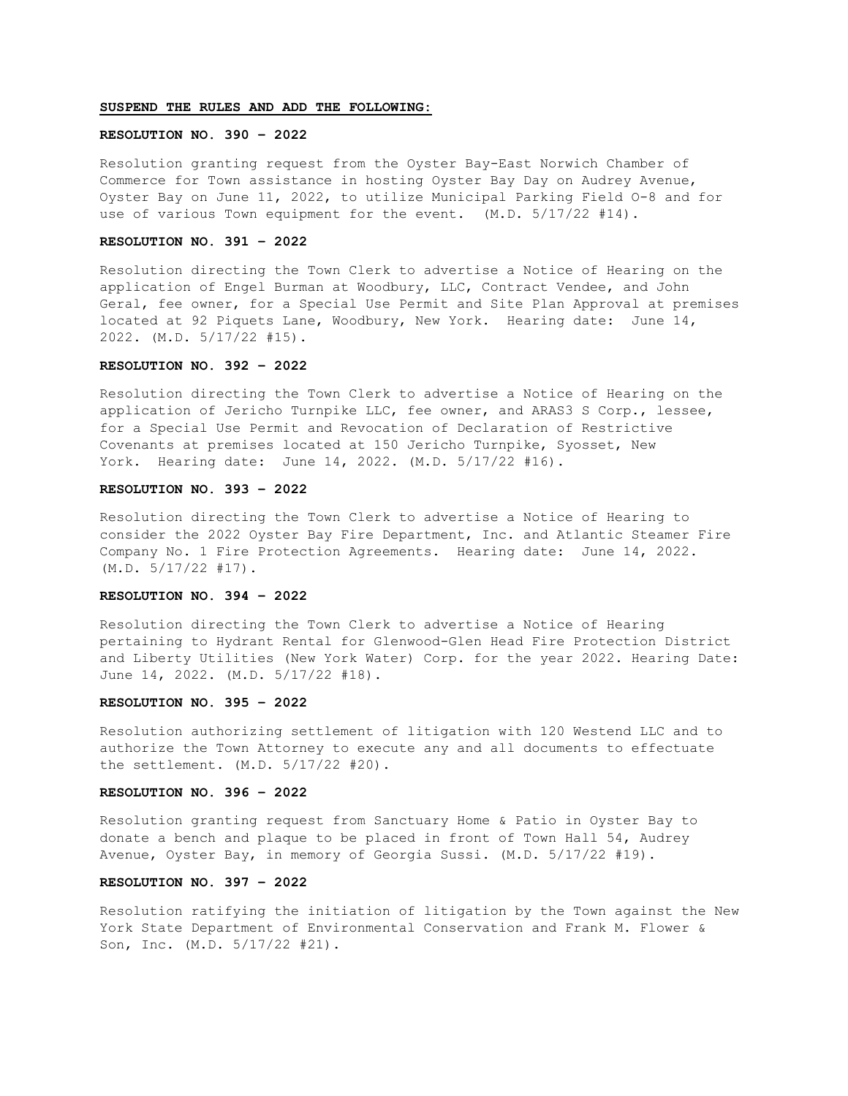# **SUSPEND THE RULES AND ADD THE FOLLOWING:**

### **RESOLUTION NO. 390 – 2022**

Resolution granting request from the Oyster Bay-East Norwich Chamber of Commerce for Town assistance in hosting Oyster Bay Day on Audrey Avenue, Oyster Bay on June 11, 2022, to utilize Municipal Parking Field O-8 and for use of various Town equipment for the event. (M.D. 5/17/22 #14).

### **RESOLUTION NO. 391 – 2022**

Resolution directing the Town Clerk to advertise a Notice of Hearing on the application of Engel Burman at Woodbury, LLC, Contract Vendee, and John Geral, fee owner, for a Special Use Permit and Site Plan Approval at premises located at 92 Piquets Lane, Woodbury, New York. Hearing date: June 14, 2022. (M.D. 5/17/22 #15).

# **RESOLUTION NO. 392 – 2022**

Resolution directing the Town Clerk to advertise a Notice of Hearing on the application of Jericho Turnpike LLC, fee owner, and ARAS3 S Corp., lessee, for a Special Use Permit and Revocation of Declaration of Restrictive Covenants at premises located at 150 Jericho Turnpike, Syosset, New York. Hearing date: June 14, 2022. (M.D. 5/17/22 #16).

### **RESOLUTION NO. 393 – 2022**

Resolution directing the Town Clerk to advertise a Notice of Hearing to consider the 2022 Oyster Bay Fire Department, Inc. and Atlantic Steamer Fire Company No. 1 Fire Protection Agreements. Hearing date: June 14, 2022. (M.D. 5/17/22 #17).

### **RESOLUTION NO. 394 – 2022**

Resolution directing the Town Clerk to advertise a Notice of Hearing pertaining to Hydrant Rental for Glenwood-Glen Head Fire Protection District and Liberty Utilities (New York Water) Corp. for the year 2022. Hearing Date: June 14, 2022. (M.D. 5/17/22 #18).

### **RESOLUTION NO. 395 – 2022**

Resolution authorizing settlement of litigation with 120 Westend LLC and to authorize the Town Attorney to execute any and all documents to effectuate the settlement. (M.D. 5/17/22 #20).

### **RESOLUTION NO. 396 – 2022**

Resolution granting request from Sanctuary Home & Patio in Oyster Bay to donate a bench and plaque to be placed in front of Town Hall 54, Audrey Avenue, Oyster Bay, in memory of Georgia Sussi. (M.D. 5/17/22 #19).

# **RESOLUTION NO. 397 – 2022**

Resolution ratifying the initiation of litigation by the Town against the New York State Department of Environmental Conservation and Frank M. Flower & Son, Inc. (M.D. 5/17/22 #21).